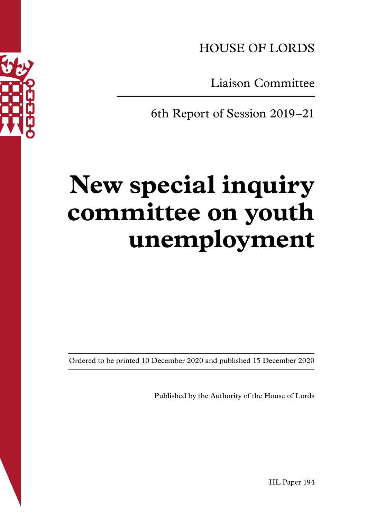

HOUSE OF LORDS

Liaison Committee

6th Report of Session 2019–21

# **New special inquiry committee on youth unemployment**

Ordered to be printed 10 December 2020 and published 15 December 2020

Published by the Authority of the House of Lords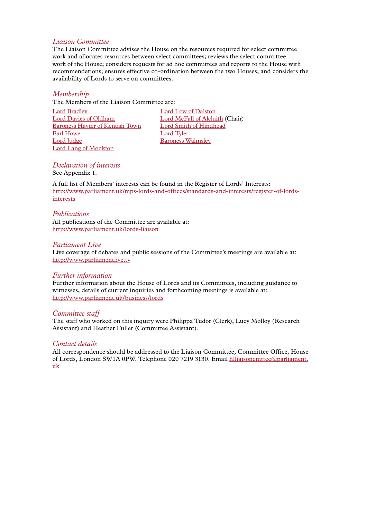#### *Liaison Committee*

The Liaison Committee advises the House on the resources required for select committee work and allocates resources between select committees; reviews the select committee work of the House; considers requests for ad hoc committees and reports to the House with recommendations; ensures effective co-ordination between the two Houses; and considers the availability of Lords to serve on committees.

#### *Membership*

The Members of the Liaison Committee are:

[Lord Bradley](https://www.parliament.uk/biographies/lords/lord-bradley/452) [Lord Low of Dalston](https://www.parliament.uk/biographies/lords/lord-low-of-dalston/3803) [Lord Davies of Oldham](https://members.parliament.uk/member/987/registeredinterests) [Lord McFall of Alcluith \(Chair\)](https://www.parliament.uk/biographies/lords/lord-mcfall-of-alcluith/4148) [Baroness Hayter of Kentish Town](https://www.parliament.uk/biographies/lords/baroness-hayter-of-kentish-town/4159) [Lord Smith of Hindhead](https://www.parliament.uk/biographies/lords/lord-smith-of-hindhead/4542) [Earl Howe](https://members.parliament.uk/member/2000/registeredinterests) [Lord Tyler](https://www.parliament.uk/biographies/lords/lord-tyler/225) [Lord Judge](https://members.parliament.uk/member/3867/registeredinterests) [Baroness Walmsley](https://members.parliament.uk/member/2547/registeredinterests) [Lord Lang of Monkton](https://www.parliament.uk/biographies/lords/lord-lang-of-monkton/896)

*Declaration of interests* See Appendix 1.

A full list of Members' interests can be found in the Register of Lords' Interests: [http://www.parliament.uk/mps-lords-and-offices/standards-and-interests/register-of-lords](http://www.parliament.uk/mps-lords-and-offices/standards-and-interests/register-of-lords-interests)[interests](http://www.parliament.uk/mps-lords-and-offices/standards-and-interests/register-of-lords-interests)

#### *Publications*

All publications of the Committee are available at: <http://www.parliament.uk/lords-liaison>

#### *Parliament Live*

Live coverage of debates and public sessions of the Committee's meetings are available at: <http://www.parliamentlive.tv>

#### *Further information*

Further information about the House of Lords and its Committees, including guidance to witnesses, details of current inquiries and forthcoming meetings is available at: <http://www.parliament.uk/business/lords>

#### *Committee staff*

The staff who worked on this inquiry were Philippa Tudor (Clerk), Lucy Molloy (Research Assistant) and Heather Fuller (Committee Assistant).

#### *Contact details*

All correspondence should be addressed to the Liaison Committee, Committee Office, House of Lords, London SW1A 0PW. Telephone 020 7219 3130. Email hlliaisoncmttee@parliament. uk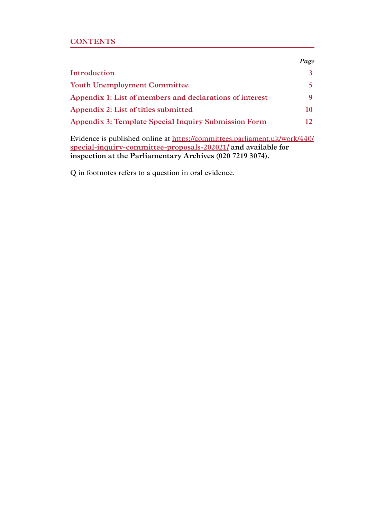## **CONTENTS**

|                                                             | Page        |
|-------------------------------------------------------------|-------------|
| Introduction                                                |             |
| <b>Youth Unemployment Committee</b>                         |             |
| Appendix 1: List of members and declarations of interest    | $\mathbf Q$ |
| Appendix 2: List of titles submitted                        | 10          |
| <b>Appendix 3: Template Special Inquiry Submission Form</b> | 12          |

Evidence is published online at [https://committees.parliament.uk/work/440/](https://committees.parliament.uk/work/440/
special-inquiry-committee-proposals-202021/) **[special-inquiry-committee-proposals-202021/](https://committees.parliament.uk/work/440/
special-inquiry-committee-proposals-202021/) and available for inspection at the Parliamentary Archives (020 7219 3074).** 

Q in footnotes refers to a question in oral evidence.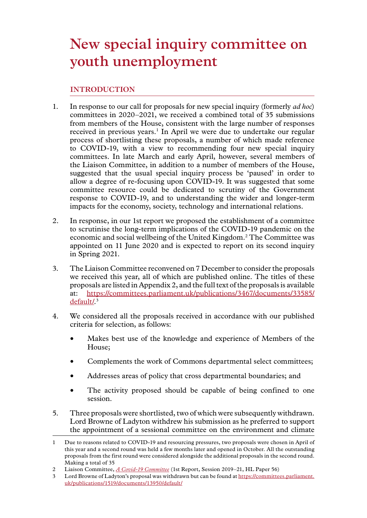# <span id="page-4-0"></span>**INTRODUCTION**

- 1. In response to our call for proposals for new special inquiry (formerly *ad hoc*) committees in 2020–2021, we received a combined total of 35 submissions from members of the House, consistent with the large number of responses received in previous years.<sup>1</sup> In April we were due to undertake our regular process of shortlisting these proposals, a number of which made reference to COVID-19, with a view to recommending four new special inquiry committees. In late March and early April, however, several members of the Liaison Committee, in addition to a number of members of the House, suggested that the usual special inquiry process be 'paused' in order to allow a degree of re-focusing upon COVID-19. It was suggested that some committee resource could be dedicated to scrutiny of the Government response to COVID-19, and to understanding the wider and longer-term impacts for the economy, society, technology and international relations.
- 2. In response, in our 1st report we proposed the establishment of a committee to scrutinise the long-term implications of the COVID-19 pandemic on the economic and social wellbeing of the United Kingdom.2 The Committee was appointed on 11 June 2020 and is expected to report on its second inquiry in Spring 2021.
- 3. The Liaison Committee reconvened on 7 December to consider the proposals we received this year, all of which are published online. The titles of these proposals are listed in Appendix 2, and the full text of the proposals is available at: [https://committees.parliament.uk/publications/3467/documents/33585/](https://committees.parliament.uk/publications/3467/documents/33585/default/) <u>[default/](https://committees.parliament.uk/publications/3467/documents/33585/default/).3</u>
- 4. We considered all the proposals received in accordance with our published criteria for selection, as follows:
	- Makes best use of the knowledge and experience of Members of the House;
	- Complements the work of Commons departmental select committees;
	- Addresses areas of policy that cross departmental boundaries; and
	- The activity proposed should be capable of being confined to one session.
- 5. Three proposals were shortlisted, two of which were subsequently withdrawn. Lord Browne of Ladyton withdrew his submission as he preferred to support the appointment of a sessional committee on the environment and climate

<sup>1</sup> Due to reasons related to COVID-19 and resourcing pressures, two proposals were chosen in April of this year and a second round was held a few months later and opened in October. All the outstanding proposals from the first round were considered alongside the additional proposals in the second round. Making a total of 35

<sup>2</sup> Liaison Committee, *[A Covid-19 Committee](https://committees.parliament.uk/publications/882/documents/6248/default/)* (1st Report, Session 2019–21, HL Paper 56)

<sup>3</sup> Lord Browne of Ladyton's proposal was withdrawn but can be found at [https://committees.parliament.](https://committees.parliament.uk/publications/1519/documents/13950/default/) [uk/publications/1519/documents/13950/default/](https://committees.parliament.uk/publications/1519/documents/13950/default/)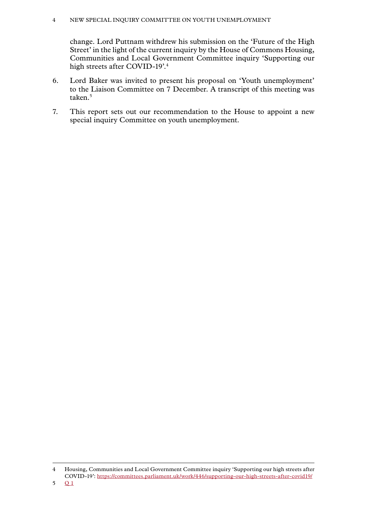change. Lord Puttnam withdrew his submission on the 'Future of the High Street' in the light of the current inquiry by the House of Commons Housing, Communities and Local Government Committee inquiry 'Supporting our high streets after COVID-19'.4

- 6. Lord Baker was invited to present his proposal on 'Youth unemployment' to the Liaison Committee on 7 December. A transcript of this meeting was taken.<sup>5</sup>
- 7. This report sets out our recommendation to the House to appoint a new special inquiry Committee on youth unemployment.

<sup>4</sup> Housing, Communities and Local Government Committee inquiry 'Supporting our high streets after COVID-19': <https://committees.parliament.uk/work/446/supporting-our-high-streets-after-covid19/>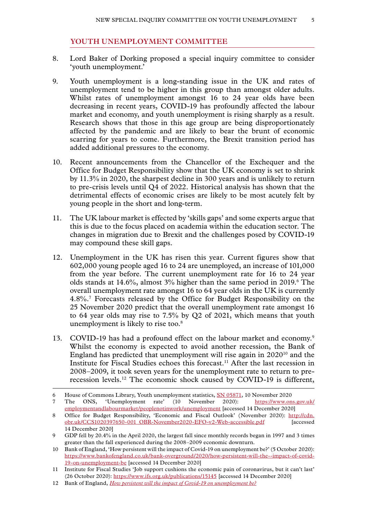#### **YOUTH UNEMPLOYMENT COMMITTEE**

- <span id="page-6-0"></span>8. Lord Baker of Dorking proposed a special inquiry committee to consider 'youth unemployment.'
- 9. Youth unemployment is a long-standing issue in the UK and rates of unemployment tend to be higher in this group than amongst older adults. Whilst rates of unemployment amongst 16 to 24 year olds have been decreasing in recent years, COVID-19 has profoundly affected the labour market and economy, and youth unemployment is rising sharply as a result. Research shows that those in this age group are being disproportionately affected by the pandemic and are likely to bear the brunt of economic scarring for years to come. Furthermore, the Brexit transition period has added additional pressures to the economy.
- 10. Recent announcements from the Chancellor of the Exchequer and the Office for Budget Responsibility show that the UK economy is set to shrink by 11.3% in 2020, the sharpest decline in 300 years and is unlikely to return to pre-crisis levels until Q4 of 2022. Historical analysis has shown that the detrimental effects of economic crises are likely to be most acutely felt by young people in the short and long-term.
- 11. The UK labour market is effected by 'skills gaps' and some experts argue that this is due to the focus placed on academia within the education sector. The changes in migration due to Brexit and the challenges posed by COVID-19 may compound these skill gaps.
- 12. Unemployment in the UK has risen this year. Current figures show that 602,000 young people aged 16 to 24 are unemployed, an increase of 101,000 from the year before. The current unemployment rate for 16 to 24 year olds stands at  $14.6\%$ , almost  $3\%$  higher than the same period in  $2019.^{\circ}$  The overall unemployment rate amongst 16 to 64 year olds in the UK is currently 4.8%.7 Forecasts released by the Office for Budget Responsibility on the 25 November 2020 predict that the overall unemployment rate amongst 16 to 64 year olds may rise to 7.5% by Q2 of 2021, which means that youth unemployment is likely to rise too.<sup>8</sup>
- 13. COVID-19 has had a profound effect on the labour market and economy.<sup>9</sup> Whilst the economy is expected to avoid another recession, the Bank of England has predicted that unemployment will rise again in 202010 and the Institute for Fiscal Studies echoes this forecast.<sup>11</sup> After the last recession in 2008–2009, it took seven years for the unemployment rate to return to prerecession levels.12 The economic shock caused by COVID-19 is different,

<sup>6</sup> House of Commons Library, Youth unemployment statistics, [SN 05871,](https://commonslibrary.parliament.uk/research-briefings/sn05871/) 10 November 2020

<sup>7</sup> The ONS, 'Unemployment rate' (10 November 2020): [https://www.ons.gov.uk/](https://www.ons.gov.uk/employmentandlabourmarket/peoplenotinwork/unemployment) [employmentandlabourmarket/peoplenotinwork/unemployment](https://www.ons.gov.uk/employmentandlabourmarket/peoplenotinwork/unemployment) [accessed 14 December 2020]

<sup>8</sup> Office for Budget Responsibility, 'Economic and Fiscal Outlook' (November 2020): http://cdn. obr.uk/CCS1020397650-001\_OBR-November2020-EFO-v2-Web-accessible.pdf [accessed 14 December 2020]

<sup>9</sup> GDP fell by 20.4% in the April 2020, the largest fall since monthly records began in 1997 and 3 times greater than the fall experienced during the 2008–2009 economic downturn.

<sup>10</sup> Bank of England, 'How persistent will the impact of Covid-19 on unemployment be?' (5 October 2020): [https://www.bankofengland.co.uk/bank-overground/2020/how-persistent-will-the--impact-of-covid-](https://www.bankofengland.co.uk/bank-overground/2020/how-persistent-will-the--impact-of-covid-19-on-unemployment-be)[19-on-unemployment-be](https://www.bankofengland.co.uk/bank-overground/2020/how-persistent-will-the--impact-of-covid-19-on-unemployment-be) [accessed 14 December 2020]

<sup>11</sup> Institute for Fiscal Studies 'Job support cushions the economic pain of coronavirus, but it can't last' (26 October 2020):<https://www.ifs.org.uk/publications/15145>[accessed 14 December 2020]

<sup>12</sup> Bank of England, *[How persistent will the impact of Covid-19 on unemployment be?](https://www.bankofengland.co.uk/bank-overground/2020/how-persistent-will-the--impact-of-covid-19-on-unemployment-be)*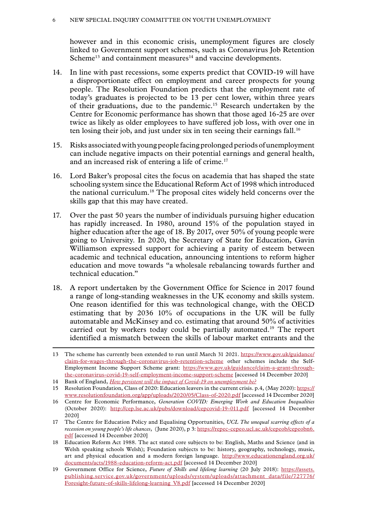however and in this economic crisis, unemployment figures are closely linked to Government support schemes, such as Coronavirus Job Retention Scheme<sup>13</sup> and containment measures<sup>14</sup> and vaccine developments.

- 14. In line with past recessions, some experts predict that COVID-19 will have a disproportionate effect on employment and career prospects for young people. The Resolution Foundation predicts that the employment rate of today's graduates is projected to be 13 per cent lower, within three years of their graduations, due to the pandemic.15 Research undertaken by the Centre for Economic performance has shown that those aged 16-25 are over twice as likely as older employees to have suffered job loss, with over one in ten losing their job, and just under six in ten seeing their earnings fall.<sup>16</sup>
- 15. Risks associated with young people facing prolonged periods of unemployment can include negative impacts on their potential earnings and general health, and an increased risk of entering a life of crime.17
- 16. Lord Baker's proposal cites the focus on academia that has shaped the state schooling system since the Educational Reform Act of 1998 which introduced the national curriculum.18 The proposal cites widely held concerns over the skills gap that this may have created.
- 17. Over the past 50 years the number of individuals pursuing higher education has rapidly increased. In 1980, around 15% of the population stayed in higher education after the age of 18. By 2017, over 50% of young people were going to University. In 2020, the Secretary of State for Education, Gavin Williamson expressed support for achieving a parity of esteem between academic and technical education, announcing intentions to reform higher education and move towards "a wholesale rebalancing towards further and technical education."
- 18. A report undertaken by the Government Office for Science in 2017 found a range of long-standing weaknesses in the UK economy and skills system. One reason identified for this was technological change, with the OECD estimating that by 2036 10% of occupations in the UK will be fully automatable and McKinsey and co. estimating that around 50% of activities carried out by workers today could be partially automated.<sup>19</sup> The report identified a mismatch between the skills of labour market entrants and the

<sup>13</sup> The scheme has currently been extended to run until March 31 2021. [https://www.gov.uk/guidance/](https://www.gov.uk/guidance/claim-for-wages-through-the-coronavirus-job-retention-scheme) [claim-for-wages-through-the-coronavirus-job-retention-scheme](https://www.gov.uk/guidance/claim-for-wages-through-the-coronavirus-job-retention-scheme) other schemes include the Self-Employment Income Support Scheme grant: [https://www.gov.uk/guidance/claim-a-grant-through](https://www.gov.uk/guidance/claim-a-grant-through-the-coronavirus-covid-19-self-employment-income-support-scheme)[the-coronavirus-covid-19-self-employment-income-support-scheme](https://www.gov.uk/guidance/claim-a-grant-through-the-coronavirus-covid-19-self-employment-income-support-scheme) [accessed 14 December 2020]

<sup>14</sup> Bank of England, *[How persistent will the impact of Covid-19 on unemployment be?](https://www.bankofengland.co.uk/bank-overground/2020/how-persistent-will-the--impact-of-covid-19-on-unemployment-be)*

<sup>15</sup> Resolution Foundation, Class of 2020: Education leavers in the current crisis. p.4, (May 2020): [https://](https://www.resolutionfoundation.org/app/uploads/2020/05/Class-of-2020.pdf) [www.resolutionfoundation.org/app/uploads/2020/05/Class-of-2020.pdf](https://www.resolutionfoundation.org/app/uploads/2020/05/Class-of-2020.pdf) [accessed 14 December 2020]

<sup>16</sup> Centre for Economic Performance, *Generation COVID: Emerging Work and Education Inequalities*  (October 2020): [http://cep.lse.ac.uk/pubs/download/cepcovid-19-011.pdf](https://cep.lse.ac.uk/pubs/download/cepcovid-19-011.pdf) [accessed 14 December 2020]

<sup>17</sup> The Centre for Education Policy and Equalising Opportunities, *UCL The unequal scarring effects of a recession on young people's life chances*, (June 2020), p 3: [https://repec-cepeo.ucl.ac.uk/cepeob/cepeobn6.](https://repec-cepeo.ucl.ac.uk/cepeob/cepeobn6.pdf) [pdf](https://repec-cepeo.ucl.ac.uk/cepeob/cepeobn6.pdf) [accessed 14 December 2020]

<sup>18</sup> Education Reform Act 1988. The act stated core subjects to be: English, Maths and Science (and in Welsh speaking schools Welsh); Foundation subjects to be: history, geography, technology, music, art and physical education and a modern foreign language. [http://www.educationengland.org.uk/](http://www.educationengland.org.uk/documents/acts/1988-education-reform-act.pdf) [documents/acts/1988-education-reform-act.pdf](http://www.educationengland.org.uk/documents/acts/1988-education-reform-act.pdf) [accessed 14 December 2020]

<sup>19</sup> Government Office for Science, *Future of Skills and lifelong learning* (20 July 2018): [https://assets.](https://assets.publishing.service.gov.uk/government/uploads/system/uploads/attachment_data/file/727776/Foresight-future-of-skills-lifelong-learning_V8.pdf) [publishing.service.gov.uk/government/uploads/system/uploads/attachment\\_data/file/727776/](https://assets.publishing.service.gov.uk/government/uploads/system/uploads/attachment_data/file/727776/Foresight-future-of-skills-lifelong-learning_V8.pdf) [Foresight-future-of-skills-lifelong-learning\\_V8.pdf](https://assets.publishing.service.gov.uk/government/uploads/system/uploads/attachment_data/file/727776/Foresight-future-of-skills-lifelong-learning_V8.pdf) [accessed 14 December 2020]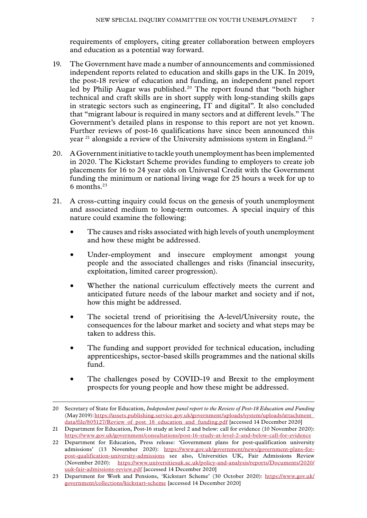requirements of employers, citing greater collaboration between employers and education as a potential way forward.

- 19. The Government have made a number of announcements and commissioned independent reports related to education and skills gaps in the UK. In 2019, the post-18 review of education and funding, an independent panel report led by Philip Augar was published.<sup>20</sup> The report found that "both higher technical and craft skills are in short supply with long-standing skills gaps in strategic sectors such as engineering, IT and digital". It also concluded that "migrant labour is required in many sectors and at different levels." The Government's detailed plans in response to this report are not yet known. Further reviews of post-16 qualifications have since been announced this year  $21$  alongside a review of the University admissions system in England.<sup>22</sup>
- 20. A Government initiative to tackle youth unemployment has been implemented in 2020. The Kickstart Scheme provides funding to employers to create job placements for 16 to 24 year olds on Universal Credit with the Government funding the minimum or national living wage for 25 hours a week for up to 6 months.23
- 21. A cross-cutting inquiry could focus on the genesis of youth unemployment and associated medium to long-term outcomes. A special inquiry of this nature could examine the following:
	- The causes and risks associated with high levels of youth unemployment and how these might be addressed.
	- Under-employment and insecure employment amongst young people and the associated challenges and risks (financial insecurity, exploitation, limited career progression).
	- Whether the national curriculum effectively meets the current and anticipated future needs of the labour market and society and if not, how this might be addressed.
	- The societal trend of prioritising the A-level/University route, the consequences for the labour market and society and what steps may be taken to address this.
	- The funding and support provided for technical education, including apprenticeships, sector-based skills programmes and the national skills fund.
	- The challenges posed by COVID-19 and Brexit to the employment prospects for young people and how these might be addressed.

<sup>20</sup> Secretary of State for Education, *Independent panel report to the Review of Post-18 Education and Funding* (May 2019): [https://assets.publishing.service.gov.uk/government/uploads/system/uploads/attachment\\_](https://assets.publishing.service.gov.uk/government/uploads/system/uploads/attachment_data/file/805127/Review_of_post_18_education_and_funding.pdf) [data/file/805127/Review\\_of\\_post\\_18\\_education\\_and\\_funding.pdf](https://assets.publishing.service.gov.uk/government/uploads/system/uploads/attachment_data/file/805127/Review_of_post_18_education_and_funding.pdf) [accessed 14 December 2020]

<sup>21</sup> Department for Education, Post-16 study at level 2 and below: call for evidence (10 November 2020): <https://www.gov.uk/government/consultations/post-16-study-at-level-2-and-below-call-for-evidence>

<sup>22</sup> Department for Education, Press release: 'Government plans for post-qualification university admissions' (13 November 2020): [https://www.gov.uk/government/news/government-plans-for](https://www.gov.uk/government/news/government-plans-for-post-qualification-university-admissions)[post-qualification-university-admissions](https://www.gov.uk/government/news/government-plans-for-post-qualification-university-admissions) see also, Universities UK, Fair Admissions Review (November 2020): [https://www.universitiesuk.ac.uk/policy-and-analysis/reports/Documents/2020/](https://www.universitiesuk.ac.uk/policy-and-analysis/reports/Documents/2020/uuk-fair-admissions-review.pdf) [uuk-fair-admissions-review.pdf](https://www.universitiesuk.ac.uk/policy-and-analysis/reports/Documents/2020/uuk-fair-admissions-review.pdf) [accessed 14 December 2020]

<sup>23</sup> Department for Work and Pensions, 'Kickstart Scheme' (30 October 2020): [https://www.gov.uk/](https://www.gov.uk/government/collections/kickstart-scheme) [government/collections/kickstart-scheme](https://www.gov.uk/government/collections/kickstart-scheme) [accessed 14 December 2020]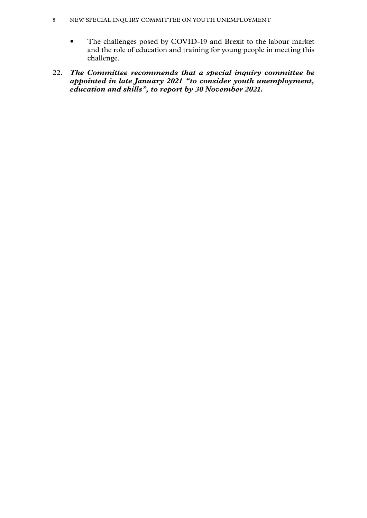- The challenges posed by COVID-19 and Brexit to the labour market and the role of education and training for young people in meeting this challenge.
- 22. *The Committee recommends that a special inquiry committee be appointed in late January 2021 "to consider youth unemployment, education and skills", to report by 30 November 2021.*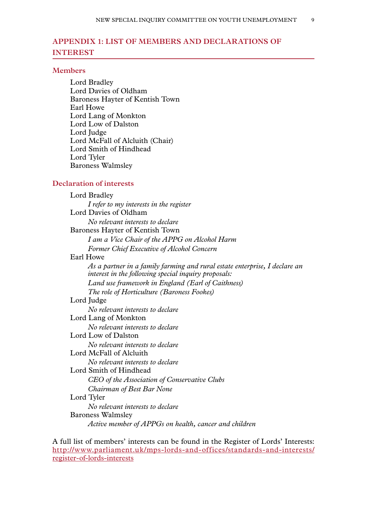# <span id="page-10-0"></span>**Appendix 1: LIST OF MEMBERS AND DECLARATIONS OF INTEREST**

#### **Members**

Lord Bradley Lord Davies of Oldham Baroness Hayter of Kentish Town Earl Howe Lord Lang of Monkton Lord Low of Dalston Lord Judge Lord McFall of Alcluith (Chair) Lord Smith of Hindhead Lord Tyler Baroness Walmsley

#### **Declaration of interests**

Lord Bradley *I refer to my interests in the register* Lord Davies of Oldham *No relevant interests to declare* Baroness Hayter of Kentish Town *I am a Vice Chair of the APPG on Alcohol Harm Former Chief Executive of Alcohol Concern* Earl Howe *As a partner in a family farming and rural estate enterprise, I declare an interest in the following special inquiry proposals: Land use framework in England (Earl of Caithness) The role of Horticulture (Baroness Fookes)* Lord Judge *No relevant interests to declare* Lord Lang of Monkton *No relevant interests to declare* Lord Low of Dalston *No relevant interests to declare* Lord McFall of Alcluith *No relevant interests to declare* Lord Smith of Hindhead *CEO of the Association of Conservative Clubs Chairman of Best Bar None* Lord Tyler *No relevant interests to declare* Baroness Walmsley *Active member of APPGs on health, cancer and children*

A full list of members' interests can be found in the Register of Lords' Interests: [http://www.parliament.uk/mps-lords-and-offices/standards-and-interests/](http://www.parliament.uk/mps-lords-and-offices/standards-and-interests/register-of-lords-interests) [register-of-lords-interests](http://www.parliament.uk/mps-lords-and-offices/standards-and-interests/register-of-lords-interests)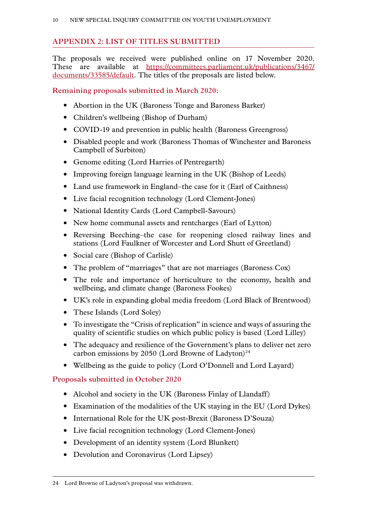# <span id="page-11-0"></span>**Appendix 2: LIST OF TITLES SUBMITTED**

The proposals we received were published online on 17 November 2020. These are available at [https://committees.parliament.uk/publications/3467/](https://committees.parliament.uk/publications/3467/documents/33585/default) [documents/33585/default](https://committees.parliament.uk/publications/3467/documents/33585/default). The titles of the proposals are listed below.

**Remaining proposals submitted in March 2020:**

- Abortion in the UK (Baroness Tonge and Baroness Barker)
- Children's wellbeing (Bishop of Durham)
- COVID-19 and prevention in public health (Baroness Greengross)
- Disabled people and work (Baroness Thomas of Winchester and Baroness Campbell of Surbiton)
- Genome editing (Lord Harries of Pentregarth)
- Improving foreign language learning in the UK (Bishop of Leeds)
- Land use framework in England–the case for it (Earl of Caithness)
- Live facial recognition technology (Lord Clement-Jones)
- National Identity Cards (Lord Campbell-Savours)
- New home communal assets and rentcharges (Earl of Lytton)
- Reversing Beeching–the case for reopening closed railway lines and stations (Lord Faulkner of Worcester and Lord Shutt of Greetland)
- Social care (Bishop of Carlisle)
- The problem of "marriages" that are not marriages (Baroness Cox)
- The role and importance of horticulture to the economy, health and wellbeing, and climate change (Baroness Fookes)
- UK's role in expanding global media freedom (Lord Black of Brentwood)
- These Islands (Lord Soley)
- To investigate the "Crisis of replication" in science and ways of assuring the quality of scientific studies on which public policy is based (Lord Lilley)
- The adequacy and resilience of the Government's plans to deliver net zero carbon emissions by 2050 (Lord Browne of Ladyton)<sup>24</sup>
- Wellbeing as the guide to policy (Lord O'Donnell and Lord Layard)

## **Proposals submitted in October 2020**

- Alcohol and society in the UK (Baroness Finlay of Llandaff)
- Examination of the modalities of the UK staying in the EU (Lord Dykes)
- International Role for the UK post-Brexit (Baroness D'Souza)
- Live facial recognition technology (Lord Clement-Jones)
- Development of an identity system (Lord Blunkett)
- Devolution and Coronavirus (Lord Lipsey)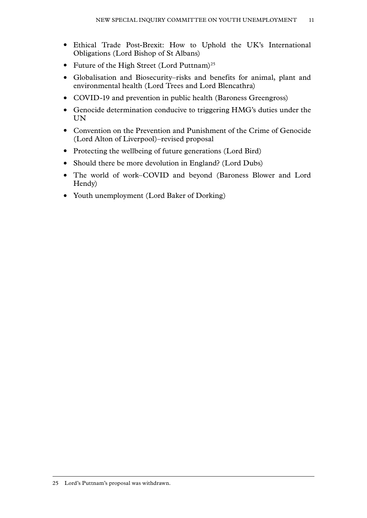- Ethical Trade Post-Brexit: How to Uphold the UK's International Obligations (Lord Bishop of St Albans)
- Future of the High Street (Lord Puttnam)<sup>25</sup>
- Globalisation and Biosecurity–risks and benefits for animal, plant and environmental health (Lord Trees and Lord Blencathra)
- COVID-19 and prevention in public health (Baroness Greengross)
- Genocide determination conducive to triggering HMG's duties under the UN
- Convention on the Prevention and Punishment of the Crime of Genocide (Lord Alton of Liverpool)–revised proposal
- Protecting the wellbeing of future generations (Lord Bird)
- Should there be more devolution in England? (Lord Dubs)
- The world of work–COVID and beyond (Baroness Blower and Lord Hendy)
- Youth unemployment (Lord Baker of Dorking)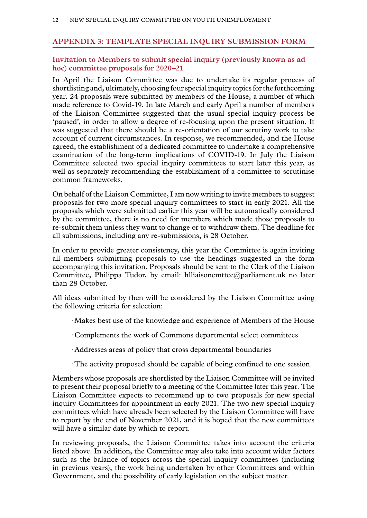#### <span id="page-13-0"></span>**Appendix 3: TEMPLATE SPECIAL INQUIRY SUBMISSION FORM**

#### **Invitation to Members to submit special inquiry (previously known as ad hoc) committee proposals for 2020–21**

In April the Liaison Committee was due to undertake its regular process of shortlisting and, ultimately, choosing four special inquiry topics for the forthcoming year. 24 proposals were submitted by members of the House, a number of which made reference to Covid-19. In late March and early April a number of members of the Liaison Committee suggested that the usual special inquiry process be 'paused', in order to allow a degree of re-focusing upon the present situation. It was suggested that there should be a re-orientation of our scrutiny work to take account of current circumstances. In response, we recommended, and the House agreed, the establishment of a dedicated committee to undertake a comprehensive examination of the long-term implications of COVID-19. In July the Liaison Committee selected two special inquiry committees to start later this year, as well as separately recommending the establishment of a committee to scrutinise common frameworks.

On behalf of the Liaison Committee, I am now writing to invite members to suggest proposals for two more special inquiry committees to start in early 2021. All the proposals which were submitted earlier this year will be automatically considered by the committee, there is no need for members which made those proposals to re-submit them unless they want to change or to withdraw them. The deadline for all submissions, including any re-submissions, is 28 October.

In order to provide greater consistency, this year the Committee is again inviting all members submitting proposals to use the headings suggested in the form accompanying this invitation. Proposals should be sent to the Clerk of the Liaison Committee, Philippa Tudor, by email: hlliaisoncmttee@parliament.uk no later than 28 October.

All ideas submitted by then will be considered by the Liaison Committee using the following criteria for selection:

- · Makes best use of the knowledge and experience of Members of the House
- · Complements the work of Commons departmental select committees
- · Addresses areas of policy that cross departmental boundaries
- · The activity proposed should be capable of being confined to one session.

Members whose proposals are shortlisted by the Liaison Committee will be invited to present their proposal briefly to a meeting of the Committee later this year. The Liaison Committee expects to recommend up to two proposals for new special inquiry Committees for appointment in early 2021. The two new special inquiry committees which have already been selected by the Liaison Committee will have to report by the end of November 2021, and it is hoped that the new committees will have a similar date by which to report.

In reviewing proposals, the Liaison Committee takes into account the criteria listed above. In addition, the Committee may also take into account wider factors such as the balance of topics across the special inquiry committees (including in previous years), the work being undertaken by other Committees and within Government, and the possibility of early legislation on the subject matter.